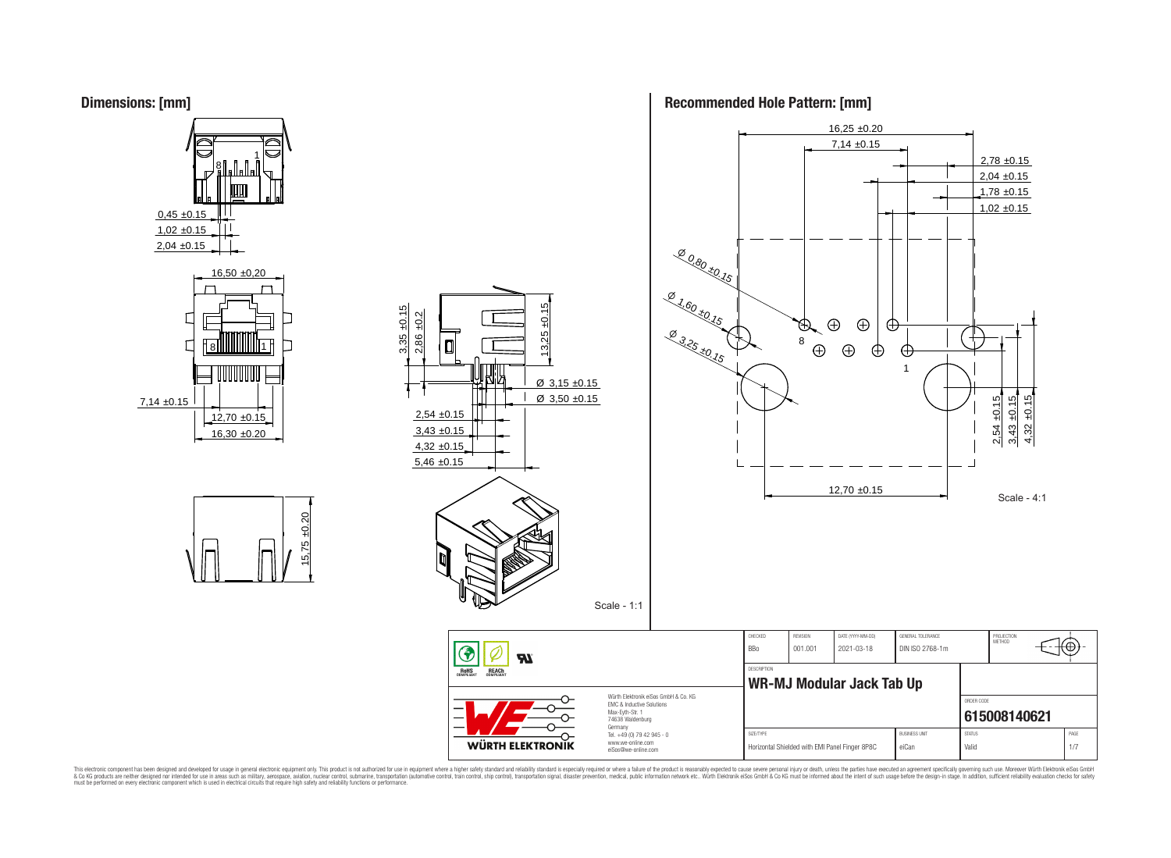## **Dimensions: [mm]**



## **Recommended Hole Pattern: [mm]**



This electronic component has been designed and developed for usage in general electronic equipment only. This product is not authorized for subserved requipment where a higher selection equipment where a higher selection

**ROHS**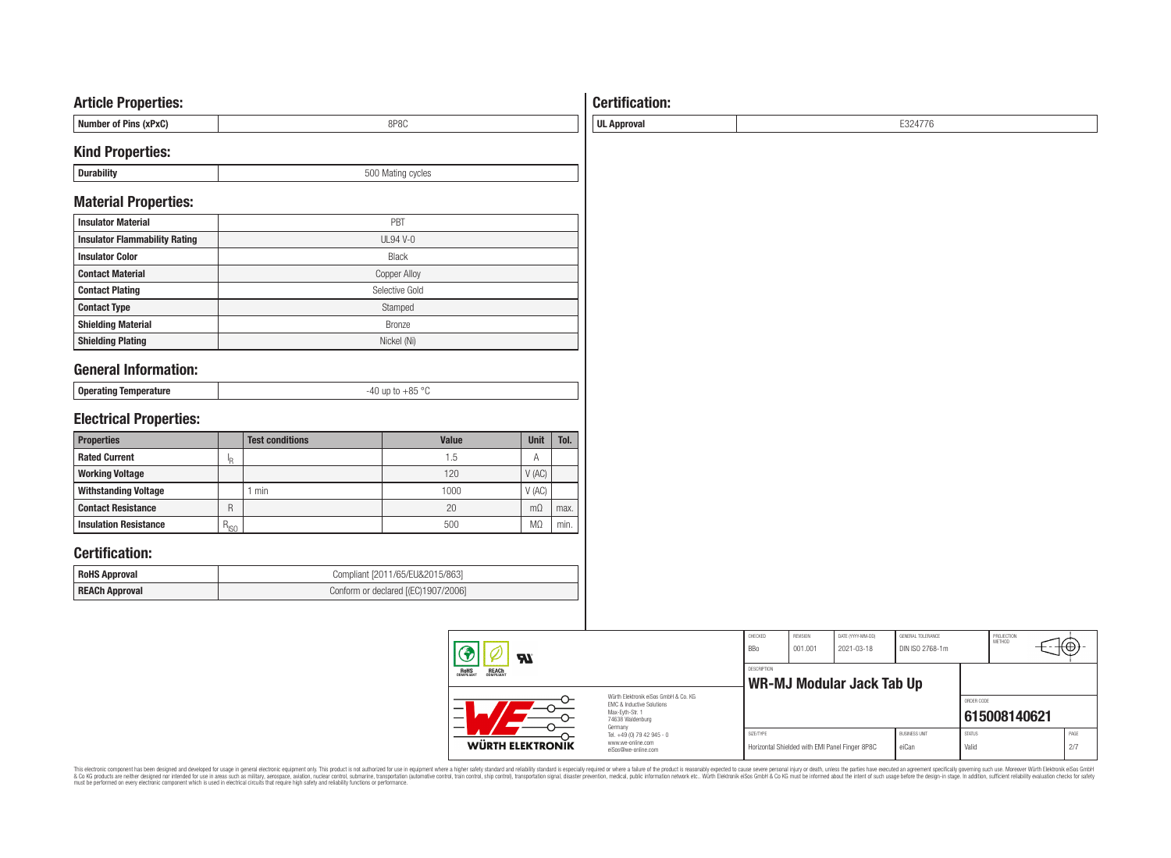## **Article Properties:**

| --- <i>---</i> -----------                |      |
|-------------------------------------------|------|
| . Ne<br>nner<br>" OT MINS<br><b>IXPXU</b> | 8P8C |
|                                           |      |

## **Kind Properties:**

| -<br>-- | ;vues<br><br>$\cdot$ |
|---------|----------------------|
|         |                      |

## **Material Properties:**

| <b>Insulator Material</b>            | PBT                 |
|--------------------------------------|---------------------|
| <b>Insulator Flammability Rating</b> | $UL94$ V-0          |
| <b>Insulator Color</b>               | <b>Black</b>        |
| <b>Contact Material</b>              | <b>Copper Alloy</b> |
| <b>Contact Plating</b>               | Selective Gold      |
| <b>Contact Type</b>                  | Stamped             |
| <b>Shielding Material</b>            | <b>Bronze</b>       |
| <b>Shielding Plating</b>             | Nickel (Ni)         |

# **General Information:**

| .<br>լ օթօւսաց | $\cdot$ $\cdot$ |
|----------------|-----------------|
|                |                 |

# **Electrical Properties:**

| <b>Properties</b>            |           | <b>Test conditions</b> | <b>Value</b> | Unit           | Tol. |
|------------------------------|-----------|------------------------|--------------|----------------|------|
| <b>Rated Current</b>         | ΙR        |                        | 1.5          | Α              |      |
| <b>Working Voltage</b>       |           |                        | 120          | V(AC)          |      |
| <b>Withstanding Voltage</b>  |           | min                    | 1000         | V(AC)          |      |
| <b>Contact Resistance</b>    | R         |                        | 20           | m <sub>O</sub> | max. |
| <b>Insulation Resistance</b> | $R_{ISO}$ |                        | 500          | M <sub>2</sub> | min. |

# **Certification:**

| <b>RoHS Approval</b>  | Compliant [2011/65/EU&2015/863]     |
|-----------------------|-------------------------------------|
| <b>REACh Approval</b> | Conform or declared [(EC)1907/2006] |

| Яľ                                                                                                       |                                                                                   | CHECKED<br><b>BBo</b> | REVISION<br>001.001 | DATE (YYYY-MM-DD)<br>2021-03-18                | GENERAL TOLERANCE<br>DIN ISO 2768-1m |                        | PROJECTION<br><b>METHOD</b> |             |
|----------------------------------------------------------------------------------------------------------|-----------------------------------------------------------------------------------|-----------------------|---------------------|------------------------------------------------|--------------------------------------|------------------------|-----------------------------|-------------|
| <b>ROHS</b><br>COMPLIANT<br><b>REACH</b><br>COMPLIANT                                                    |                                                                                   | <b>DESCRIPTION</b>    |                     | <b>WR-MJ Modular Jack Tab Up</b>               |                                      |                        |                             |             |
| Würth Elektronik eiSos GmbH & Co. KG<br>EMC & Inductive Solutions<br>Max-Evth-Str. 1<br>74638 Waldenburg |                                                                                   |                       |                     |                                                |                                      | ORDER CODE             | 615008140621                |             |
| WÜRTH ELEKTRONIK                                                                                         | Germany<br>Tel. +49 (0) 79 42 945 - 0<br>www.we-online.com<br>eiSos@we-online.com | SIZE/TYPE             |                     | Horizontal Shielded with EMI Panel Finger 8P8C | <b>BUSINESS UNIT</b><br>eiCan        | <b>STATUS</b><br>Valid |                             | PAGE<br>2/7 |

This electronic component has been designed and developed for usage in general electronic equipment only. This product is not authorized for subserved requipment where a higher selection equipment where a higher selection

# **Certification:**

**UL Approval** E324776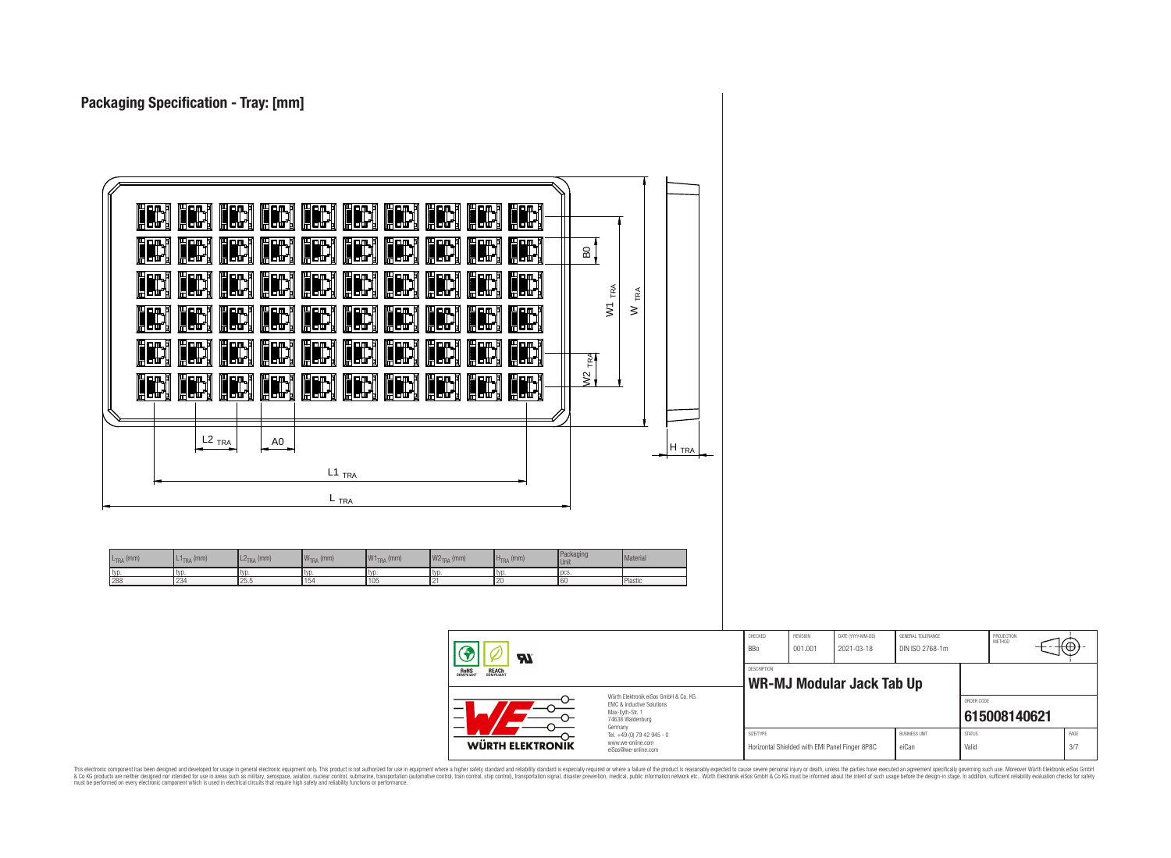| IH<br>IH<br>IH<br><b>IH</b><br>H<br>H<br>H.<br>H<br>IM<br>in,<br>H.<br><b>in</b><br>H<br>IH,<br>H<br>Ę<br>IH<br>H<br>冊<br>E<br>$\frac{8}{1}$<br>(iii)<br><b>IH</b><br>H<br>IH)<br>ᇒ<br>ᇒ<br>H<br>IH,<br><b>in</b><br>Ë<br>HW<br>▙<br>TRA<br>TRA<br>$\overline{\mathsf{S}}$<br>$\geq$<br>冊<br><b>IH</b><br>H,<br>H<br>ᇜ<br>H<br>IH)<br>H<br>I<br><b>III</b><br>ĮM,<br>H<br>IH<br>IH,<br>H<br>H<br><b>III</b><br>H<br>IH<br>H<br>$\mathbb{E}$<br>$\sim$<br><b>IH</b><br>IH<br><b>IH</b><br>Imi<br>Harj Harj<br><b>HE</b><br>HH)<br>H<br>IH<br>$\geq$ |                                            |                     |                                                                     |                                                              |
|----------------------------------------------------------------------------------------------------------------------------------------------------------------------------------------------------------------------------------------------------------------------------------------------------------------------------------------------------------------------------------------------------------------------------------------------------------------------------------------------------------------------------------------------------|--------------------------------------------|---------------------|---------------------------------------------------------------------|--------------------------------------------------------------|
| $L2$ <sub>TRA</sub><br>A0<br>$H_{TRA}$<br>$L1$ <sub>TRA</sub><br>$L_{\text{TRA}}$<br>Packaging<br>Material<br>L <sub>2TRA</sub> (mm)<br>$WTRA$ (mm)<br>W1 <sub>TRA</sub> (mm)<br>$W2TRA$ (mm)<br>$L1_{\text{TRA}}$ (mm)<br>$HTRA$ (mm)<br>$L_{TRA}$ (mm)<br>Unit<br>typ.<br>typ.<br>typ.<br>typ.<br>typ.<br>typ.<br>pcs.<br>typ.<br>288<br>234<br>25.5<br>154<br>105<br>20<br>60<br>Plastic<br>21                                                                                                                                                  |                                            |                     |                                                                     |                                                              |
| ◈<br>$\boldsymbol{\mathcal{H}}$<br><b>ROHS</b><br>COMPLIANT<br><b>REACH</b><br>COMPLIANT<br>Würth Elektronik eiSos GmbH & Co. KG<br>EMC & Inductive Solutions<br>Max-Eyth-Str. 1<br>74638 Waldenburg<br>Germany<br>Tel. +49 (0) 79 42 945 - 0                                                                                                                                                                                                                                                                                                      | CHECKED<br>BBo<br>DESCRIPTION<br>SIZE/TYPE | REVISION<br>001.001 | DATE (YYYY-MM-DD)<br>2021-03-18<br><b>WR-MJ Modular Jack Tab Up</b> | GENERAL TOLERANCE<br>DIN ISO 2768-1m<br><b>BUSINESS UNIT</b> |

This electronic component has been designed and developed for usage in general electronic equipment only. This product is not authorized for subserved requipment where a higher selection equipment where a higher selection

**WÜRTH ELEKTRONIK** 

www.we-online.com eiSos@we-online.com PROJECTION<br>METHOD

Θ

**[615008140621](https://www.we-online.com/catalog/en/article/615008140621)**

ORDER CODE

SIZE/TYPE BUSINESS UNIT STATUS PAGE Horizontal Shielded with EMI Panel Finger 8P8C eiCan Valid Valid Valid 3/7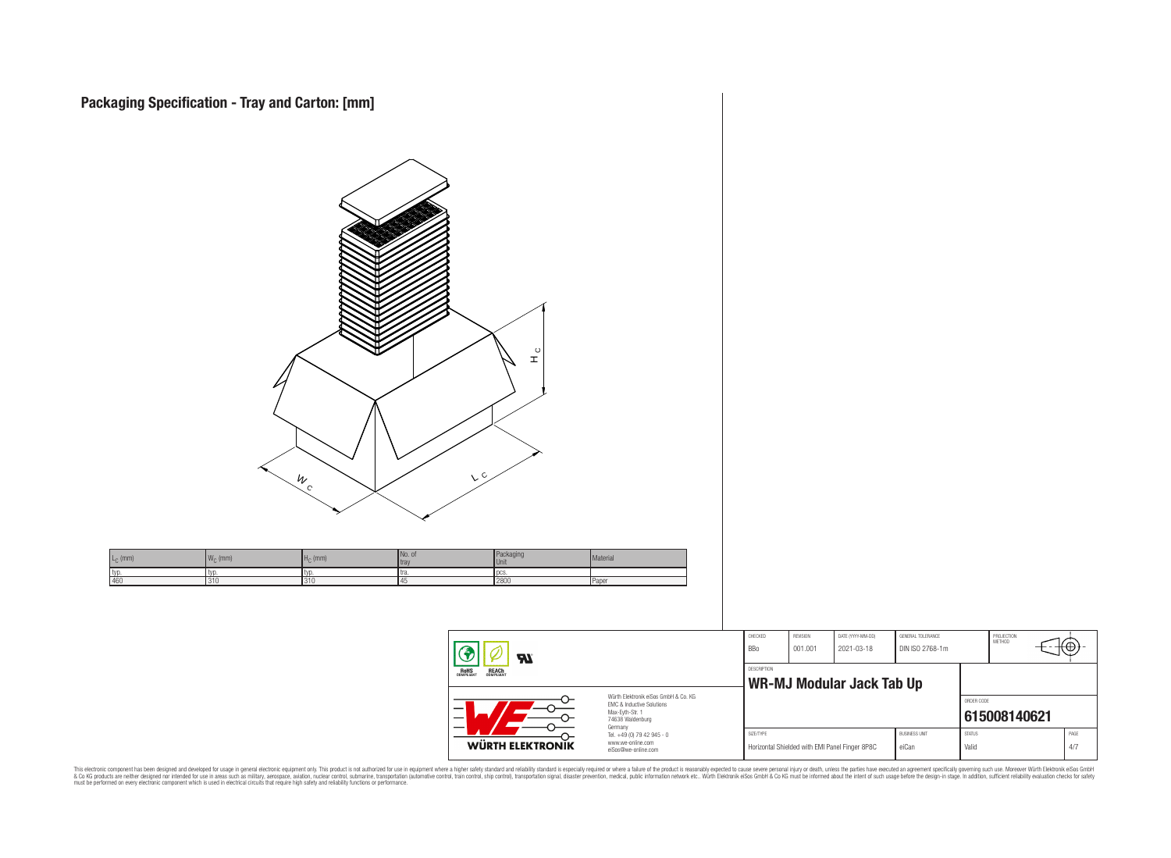

This electronic component has been designed and developed for usage in general electronic equipment only. This product is not authorized for subserved requipment where a higher selection equipment where a higher selection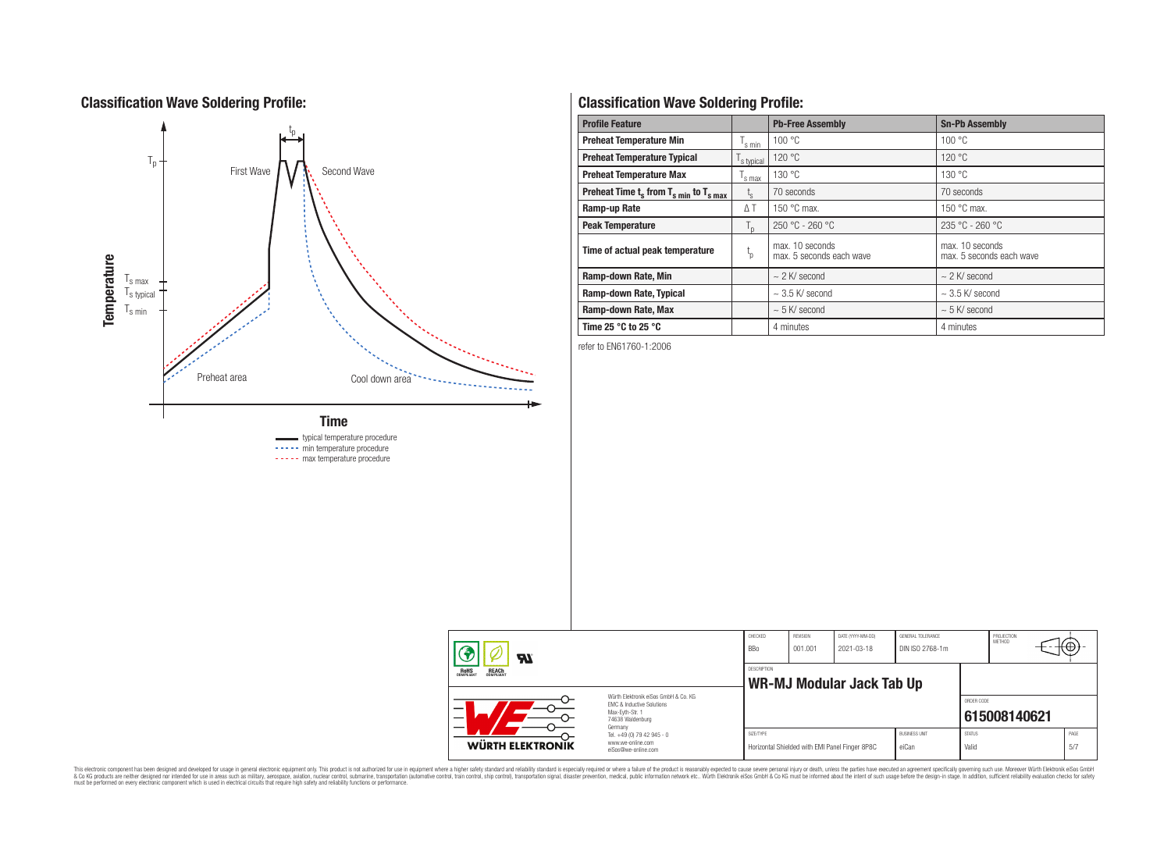# **Classification Wave Soldering Profile:**



# **Classification Wave Soldering Profile:**

| <b>Profile Feature</b>                             |                        | <b>Pb-Free Assembly</b>                     | <b>Sn-Pb Assembly</b>                       |
|----------------------------------------------------|------------------------|---------------------------------------------|---------------------------------------------|
| <b>Preheat Temperature Min</b>                     | s min                  | 100 °C                                      | 100 °C                                      |
| <b>Preheat Temperature Typical</b>                 | s typical              | 120 °C                                      | 120 °C                                      |
| <b>Preheat Temperature Max</b>                     | s max                  | 130 °C                                      | 130 °C                                      |
| Preheat Time $t_s$ from $T_{s,min}$ to $T_{s,max}$ | $L_{\rm S}$            | 70 seconds                                  | 70 seconds                                  |
| Ramp-up Rate                                       | ΔT                     | 150 $\degree$ C max.                        | 150 $\degree$ C max.                        |
| <b>Peak Temperature</b>                            | $T_{\text{D}}$         | $250 °C - 260 °C$                           | 235 °C - 260 °C                             |
| Time of actual peak temperature                    | $\mathfrak{t}_{\rm p}$ | max. 10 seconds<br>max. 5 seconds each wave | max. 10 seconds<br>max. 5 seconds each wave |
| Ramp-down Rate, Min                                |                        | $\sim$ 2 K/ second                          | $\sim$ 2 K/ second                          |
| Ramp-down Rate, Typical                            |                        | $\sim$ 3.5 K/ second                        | $\sim$ 3.5 K/ second                        |
| Ramp-down Rate, Max                                |                        | $\sim$ 5 K/ second                          | $\sim$ 5 K/ second                          |
| Time 25 $\degree$ C to 25 $\degree$ C              |                        | 4 minutes                                   | 4 minutes                                   |

refer to EN61760-1:2006

| P<br>$\boldsymbol{z}$                                 |                                                                                                                     | CHECKED<br><b>BBo</b> | REVISION<br>001.001 | DATE (YYYY-MM-DD)<br>2021-03-18                | GENERAL TOLERANCE<br>DIN ISO 2768-1m |                        | PROJECTION<br>METHOD |             |
|-------------------------------------------------------|---------------------------------------------------------------------------------------------------------------------|-----------------------|---------------------|------------------------------------------------|--------------------------------------|------------------------|----------------------|-------------|
| <b>ROHS</b><br>COMPLIANT<br><b>REACH</b><br>COMPLIANT |                                                                                                                     | <b>DESCRIPTION</b>    |                     | <b>WR-MJ Modular Jack Tab Up</b>               |                                      |                        |                      |             |
|                                                       | Würth Elektronik eiSos GmbH & Co. KG<br>EMC & Inductive Solutions<br>Max-Evth-Str. 1<br>74638 Waldenburg<br>Germany |                       |                     |                                                |                                      | ORDER CODE             | 615008140621         |             |
| <b>WÜRTH ELEKTRONIK</b>                               | Tel. +49 (0) 79 42 945 - 0<br>www.we-online.com<br>eiSos@we-online.com                                              | SIZE/TYPE             |                     | Horizontal Shielded with EMI Panel Finger 8P8C | <b>BUSINESS UNIT</b><br>eiCan        | <b>STATUS</b><br>Valid |                      | PAGE<br>5/7 |

This electronic component has been designed and developed for usage in general electronic equipment only. This product is not authorized for subserved requipment where a higher selection equipment where a higher selection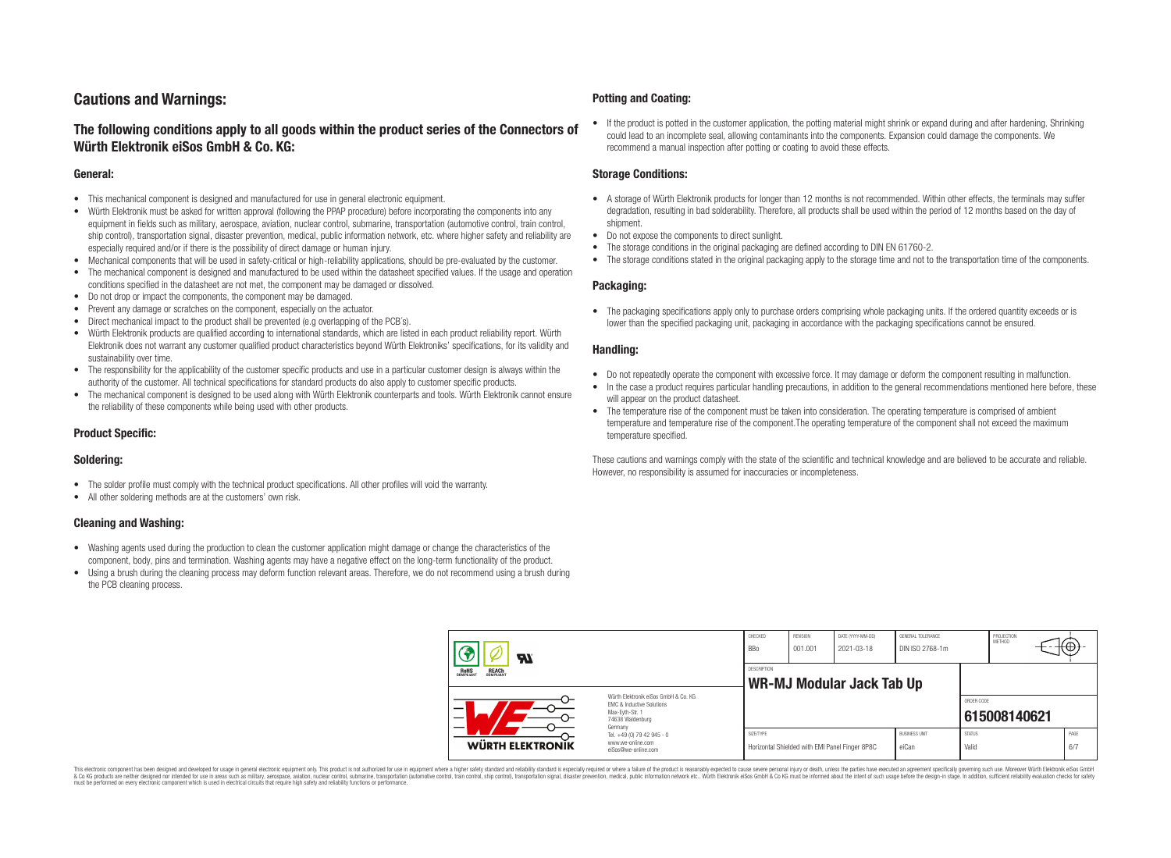# **Cautions and Warnings:**

## **The following conditions apply to all goods within the product series of the Connectors of Würth Elektronik eiSos GmbH & Co. KG:**

#### **General:**

- This mechanical component is designed and manufactured for use in general electronic equipment.
- Würth Elektronik must be asked for written approval (following the PPAP procedure) before incorporating the components into any equipment in fields such as military, aerospace, aviation, nuclear control, submarine, transportation (automotive control, train control, ship control), transportation signal, disaster prevention, medical, public information network, etc. where higher safety and reliability are especially required and/or if there is the possibility of direct damage or human injury.
- Mechanical components that will be used in safety-critical or high-reliability applications, should be pre-evaluated by the customer.
- The mechanical component is designed and manufactured to be used within the datasheet specified values. If the usage and operation conditions specified in the datasheet are not met, the component may be damaged or dissolved.
- Do not drop or impact the components, the component may be damaged.
- Prevent any damage or scratches on the component, especially on the actuator.
- Direct mechanical impact to the product shall be prevented (e.g overlapping of the PCB's).
- Würth Elektronik products are qualified according to international standards, which are listed in each product reliability report. Würth Elektronik does not warrant any customer qualified product characteristics beyond Würth Elektroniks' specifications, for its validity and sustainability over time.
- The responsibility for the applicability of the customer specific products and use in a particular customer design is always within the authority of the customer. All technical specifications for standard products do also apply to customer specific products.
- The mechanical component is designed to be used along with Würth Elektronik counterparts and tools. Würth Elektronik cannot ensure the reliability of these components while being used with other products.

### **Product Specific:**

#### **Soldering:**

- The solder profile must comply with the technical product specifications. All other profiles will void the warranty.
- All other soldering methods are at the customers' own risk.

#### **Cleaning and Washing:**

- Washing agents used during the production to clean the customer application might damage or change the characteristics of the component, body, pins and termination. Washing agents may have a negative effect on the long-term functionality of the product.
- Using a brush during the cleaning process may deform function relevant areas. Therefore, we do not recommend using a brush during the PCB cleaning process.

#### **Potting and Coating:**

• If the product is potted in the customer application, the potting material might shrink or expand during and after hardening. Shrinking could lead to an incomplete seal, allowing contaminants into the components. Expansion could damage the components. We recommend a manual inspection after potting or coating to avoid these effects.

#### **Storage Conditions:**

- A storage of Würth Elektronik products for longer than 12 months is not recommended. Within other effects, the terminals may suffer degradation, resulting in bad solderability. Therefore, all products shall be used within the period of 12 months based on the day of shipment.
- Do not expose the components to direct sunlight.
- The storage conditions in the original packaging are defined according to DIN EN 61760-2.
- The storage conditions stated in the original packaging apply to the storage time and not to the transportation time of the components.

#### **Packaging:**

• The packaging specifications apply only to purchase orders comprising whole packaging units. If the ordered quantity exceeds or is lower than the specified packaging unit, packaging in accordance with the packaging specifications cannot be ensured.

#### **Handling:**

- Do not repeatedly operate the component with excessive force. It may damage or deform the component resulting in malfunction.
- In the case a product requires particular handling precautions, in addition to the general recommendations mentioned here before, these will appear on the product datasheet
- The temperature rise of the component must be taken into consideration. The operating temperature is comprised of ambient temperature and temperature rise of the component.The operating temperature of the component shall not exceed the maximum temperature specified.

These cautions and warnings comply with the state of the scientific and technical knowledge and are believed to be accurate and reliable. However, no responsibility is assumed for inaccuracies or incompleteness.

| $\boldsymbol{H}$<br><b>ROHS</b><br>COMPLIANT<br><b>REACH</b><br>COMPLIANT                                     |                                                                                   | CHECKED<br><b>BBo</b> | REVISION<br>001.001 | DATE (YYYY-MM-DD)<br>2021-03-18                | GENERAL TOLERANCE<br>DIN ISO 2768-1m |                        | PROJECTION<br>METHOD | Ψ.           |
|---------------------------------------------------------------------------------------------------------------|-----------------------------------------------------------------------------------|-----------------------|---------------------|------------------------------------------------|--------------------------------------|------------------------|----------------------|--------------|
|                                                                                                               |                                                                                   | <b>DESCRIPTION</b>    |                     | WR-MJ Modular Jack Tab Up                      |                                      |                        |                      |              |
| Würth Flektronik eiSos GmbH & Co. KG<br>FMC & Inductive Solutions<br>-<br>Max-Eyth-Str. 1<br>74638 Waldenburg |                                                                                   |                       |                     |                                                |                                      | ORDER CODE             | 615008140621         |              |
| WÜRTH ELEKTRONIK                                                                                              | Germany<br>Tel. +49 (0) 79 42 945 - 0<br>www.we-online.com<br>eiSos@we-online.com | SIZE/TYPE             |                     | Horizontal Shielded with EMI Panel Finger 8P8C | <b>BUSINESS UNIT</b><br>eiCan        | <b>STATUS</b><br>Valid |                      | PAGE<br>.6/7 |

This electronic component has been designed and developed for usage in general electronic equipment only. This product is not authorized for use in equipment where a higher safety standard and reliability standard si espec & Ook product a label and the membed of the seasuch as marked and as which such a membed and the such assume that income in the seasuch and the simulation and the such assume that include to the such a membed and the such